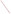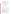### **AGENCY: ENVIRONMENTAL PROTECTION AGENCY (EPA)**

### **TITLE: INDOOR ENVIRONMENTS: REDUCING PUBLIC EXPOSURE TO INDOOR POLLUTANTS**

- **ACTION: Request for Applications (RFA) Questions and Answers**
- **RFA NO: EPA-OAR-IED-05-21**

### **CATALOG OF FEDERAL DOMESTIC ASSISTANCE (CFDA) NO: 66.034**

**SUMMARY:** The following are the Agency's response to questions/comments regarding the solicitation.

### **October 25, 2005 2:00-4:00pm RFA Pre-Proposal Conference Call Summary**

Managed by: Victoria Drew and David Rowson

### **2:00-2:30pm Overview**

### **Reminder**:

• Deadline as specified in Section 4 of the RFA, page 23 of the RFA Stage 2: Cover Letter, Concept Proposal and SF-424, 424A and 424B due no later than Monday, December 12, 2005, 4:00 pm EST. Proposals received after this deadline will not be considered.

### *Administrative*

- EPA anticipates 20-25 cooperative agreements, estimated budget and project period for awards 3 years or 36 months from 10/01/056 to 09/30/09, total funds available per year \$3-4 million
- Type of projects applicable, demonstration, training, outreach and/or education cooperative agreements to reduce exposure to indoor air pollutants and yield measurable environmental outcomes
- Instructions for Cover Letter and Concept proposal begins on page 23, Stage 2
- Specific instructions for electronic filing on page 23, Stage 2 under "How to Submit" your Stage 2 Package Electronically"
- EPA encourages applicants to use Express Mailing Service to submit their application, instructions on page 24, "Express Delivery Address"

## *Program-Specific*

• Support demonstration, training, outreach projects/programs that support EPA's strategic objectives (increase action to reduce public health risks from indoor air pollutants) and yield environmental health outcomes. (RFA Reference: p.2)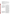- Priority Pollutants and Building Types (RFA Reference: p. 3-7)
- Encouraged to address at least one priority area. Where appropriate encouraged to address multiple priority areas.
- Health outcomes focused on achieving as program and through RFA. Agency's focus through grant endeavors continues to pay more attention to bottom-line outcomes. Proposals need to describe how it will pay attention to bottom-line outcomes. (RFA Reference: p. 7).
- Examples of projects and programs would fund and linkage to environmental outcomes. (RFA Reference: p.11-19)
- Administrative process (RFA Reference: p. 20-29)
- Evaluation criteria will be used to evaluate proposals (RFA Reference: p. 30-32)

| <b>Question</b>                              | <b>Answer</b>                                                                            |
|----------------------------------------------|------------------------------------------------------------------------------------------|
| 1) Under eligibility criteria - Is a federal | 1) No, the appropriate funding mechanism                                                 |
| entity eligible to apply under this RFA?     | would be an interagency agreement.                                                       |
|                                              | Federal entities are not eligible under this                                             |
|                                              | RFA.                                                                                     |
| 2) Can an applicant have a coalition         | 2) Sub-grants or sub-awards may be used                                                  |
| working on IAQ, where their organization     | to fund partnerships with universities and                                               |
| would be the fiduciary agent and would       | non-profit organizations. Successful                                                     |
| sub-contract with coalition? On page 21,     | applicants cannot use sub-grants or sub-                                                 |
| says that subgrants or subawards may be      | awards to avoid requirements in EPA grant                                                |
| used to fund partnerships $-$ is the current | regulations for competitive procurement by                                               |
| relationship appropriate?                    | using these instruments to acquire                                                       |
|                                              | commercial services or products to carry                                                 |
|                                              | out its cooperative agreement. In the RFA                                                |
|                                              | under section "D. Can funding be used to                                                 |
|                                              | acquire services or fund partnerships?" last                                             |
|                                              | sentence in paragraph two. "The nature of                                                |
|                                              | the transaction between the recipient and<br>the sub-grantee must be consistent with the |
|                                              | standards for distinguishing between                                                     |
|                                              | vendor transactions and sub-recipient                                                    |
|                                              | assistance under Sub-part B Section .210 of                                              |
|                                              | OMB Circular A-133, and the definitions                                                  |
|                                              | of "sub-award" at 40 CFR 30.2(ff) or "sub-                                               |
|                                              | grant" at 40 CFR 31.3, as applicable. EPA                                                |
|                                              | will not be a party to these transactions."                                              |
| 3) Under the funding award information,      | 3) EPA has not predetermined what level                                                  |
| EPA provides the total amount and            | of funding will be provided to each grantee.                                             |
| anticipated number of agreements that will   | EPA has approximate total amount of                                                      |
| be awarded. Is there a monetary range for    | funding and anticipated number of                                                        |
| the budgets of organizations that have had   | cooperative agreements to be awarded                                                     |
| previous agreements? Is it acceptable to be  | under this funding opportunity. The level                                                |
| in the previous range?                       | of funding you should propose is outlined                                                |
|                                              | in Section V.A VI. of the evaluation                                                     |

# US EPA ARCHIVE DOCUMENT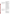|                                              | criteria. The proposed budget should be        |
|----------------------------------------------|------------------------------------------------|
|                                              | appropriate to accomplish proposed goals       |
|                                              | and activities in the application leading to   |
|                                              | environmental outcomes.                        |
|                                              |                                                |
| 4) Verify that "home" priority area includes | 4) Yes, these structures would be              |
| multi-level housing and apartments.          | considered "homes".                            |
| 5) Are $501C(6)$ organizations eligible to   | 5) $501(c)(6)$ trade associations are eligible |
| apply?                                       | as long as the organization is incorporated    |
|                                              | as a non profit under state law.               |
| 6) Can a non-profit subcontract to a for-    | 6) Yes, EPA grant recipients must conduct      |
| profit consulting firm?                      | all procurements that are financed with        |
|                                              | EPA funding competitively to the               |
|                                              | maximum extent practicable (40 CFR             |
|                                              | 30.43) and all procurements must be            |
|                                              | supported by a cost or price analysis (40      |
|                                              | CFR 30.45). The fact that your                 |
|                                              | "subcontractor" is "in large portion           |
|                                              | involved" in the writing of your proposal      |
|                                              | does not change these requirements.            |
|                                              | Neither does identifying the subcontractor     |
|                                              |                                                |
|                                              | as a member of the investigative team or       |
|                                              | otherwise in your proposal. Unless you         |
|                                              | have selected your subcontractor               |
|                                              | competitively and conducted a cost or price    |
|                                              | analysis prior to the submission of the        |
|                                              | proposal, you run a risk of being out of       |
|                                              | compliance with the EPA grant regulations      |
|                                              | if you subcontract on a sole source basis to   |
|                                              | the firm who is helping you prepare your       |
|                                              | proposal if your proposal is selected by       |
|                                              | EPA.                                           |
| 7) I-BEAM $-$ Are there EPA staff            | 7) This software is available online and it    |
| available to provide training or technical   | is designed in order for you to use it         |
| assistance?                                  | without needing a lot of detailed              |
|                                              | instruction.                                   |
| 8) Is there a limit on how much an           | 8) Yes                                         |
| applicant can pay consultants to assist with |                                                |
| their proposed project?                      | The standard agency term and condition         |
|                                              | reads as follows:                              |
|                                              |                                                |
|                                              |                                                |
|                                              | <b>Payment to Consultants: EPA</b>             |
|                                              | participation in the salary rate (excluding    |
|                                              | overhead) paid to individual consultants       |
|                                              | retained by recipients or by a recipient's     |
|                                              | contractors or subcontractors shall be         |
|                                              | limited to the maximum daily rate for a        |
|                                              | Level IV of the Executive Schedule             |
|                                              | (formerly GS-18), to be adjusted annually.     |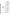|                                              | This limit applies to consultation services      |
|----------------------------------------------|--------------------------------------------------|
|                                              | of designated individuals with specialized       |
|                                              | skills who are paid at a daily or hourly rate.   |
|                                              | As of January 1, 2005, the limit is \$537.76     |
|                                              | per day and \$67.22 per hour. This rate does     |
|                                              |                                                  |
|                                              | not include transportation and subsistence       |
|                                              | costs for travel performed (the recipient        |
|                                              | will pay these in accordance with their          |
|                                              | normal travel reimbursement practices).          |
|                                              |                                                  |
|                                              | Sub-agreements with firms for services           |
|                                              | which are awarded using the procurement          |
|                                              |                                                  |
|                                              | requirements in 40 CFR 30 or 31, as              |
|                                              | applicable, are not affected by this             |
|                                              | limitation unless the terms of the contract      |
|                                              | provided the recipient with responsibility       |
|                                              | for the selection, direction, and control of     |
|                                              | the individuals who will be providing            |
|                                              | services under the contract at an hourly or      |
|                                              | daily rate of compensation. See 40 CFR           |
|                                              | $31.36(j)$ or $30.27(b)$                         |
|                                              |                                                  |
| 9) If applicant is currently funded by HUD   | 9) Yes, applicants can integrate Energy          |
| to do a rehabilitation project, can we       | Star program into proposed projects.             |
| propose incorporating/integrating Energy     |                                                  |
| Star in rehabilitation home project? Can     | Yes, generally an applicant can purchase         |
| funding be used to purchase equipment to     | equipment, but they would need to be very        |
| be installed in homes?                       | specific about this as part of the proposal.     |
|                                              |                                                  |
| 10) Would the earliest start date be         | 10) Yes, as stated in the RFA under "II.         |
| 10/1/06?                                     | AWARD INFORMATION" section "C.                   |
|                                              | What is the budget and project period for        |
|                                              |                                                  |
|                                              | award(s) resulting from this solicitation?"      |
|                                              | first sentence "The estimated budget and         |
|                                              | project period for awards resulting from         |
|                                              | this solicitation is $10/01/06$ to $09/30/09$ ." |
| 11) Do we have a concept proposal that is    | 11) The concept proposal including a             |
| due before the entire proposal?              | cover letter, SF-424, 424A and B, and            |
|                                              | concept proposal is due on December 12,          |
|                                              | as specified on page 23 of the RFA.              |
|                                              |                                                  |
|                                              | If an applicant is selected for award            |
|                                              |                                                  |
|                                              | recommendation, then a complete full             |
|                                              | application package and all required             |
|                                              | supporting documentation is due on               |
|                                              | February 27, 2006                                |
| 12) What is allowed for indirect cost rates? | 12) Each organization negotiates their           |
|                                              | individual indirect costs with the cognizant     |
|                                              | agency. The RFA doesn't specify a                |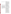|                      | 13) What is your intent in funding?                                                                                                                                                                                                                         |
|----------------------|-------------------------------------------------------------------------------------------------------------------------------------------------------------------------------------------------------------------------------------------------------------|
|                      | 14) Will you fund each of priority areas<br>equally?                                                                                                                                                                                                        |
|                      | 15) Overhead costs: Does the amount of<br>money funded include overhead costs?<br>16) Sub contractors: If an applicant uses a<br>subcontractor to assist with writing the<br>proposal, how does the applicant meet<br>limitations in terms of compensation? |
| <b>HIVE DOCUMENT</b> | 17) If an applicant has a subcontractor,<br>who is in large portion involved in writing<br>proposal, can they set the subcontractor u<br>as part of investigative team rather than a<br>a subcontractor?                                                    |
|                      |                                                                                                                                                                                                                                                             |
| US EPA ARCI          |                                                                                                                                                                                                                                                             |
|                      |                                                                                                                                                                                                                                                             |

|                                                                                                                                                                                                            | maximum or minimum indirect cost rate<br>requirement.                                                                                                                                                                                                                                                                                                                                                                                                                                                                                                                                                                                                                                                                                                                                                                                                                                                                                                                                                                      |
|------------------------------------------------------------------------------------------------------------------------------------------------------------------------------------------------------------|----------------------------------------------------------------------------------------------------------------------------------------------------------------------------------------------------------------------------------------------------------------------------------------------------------------------------------------------------------------------------------------------------------------------------------------------------------------------------------------------------------------------------------------------------------------------------------------------------------------------------------------------------------------------------------------------------------------------------------------------------------------------------------------------------------------------------------------------------------------------------------------------------------------------------------------------------------------------------------------------------------------------------|
| 13) What is your intent in funding?                                                                                                                                                                        | 13) The first review of the proposals will<br>be based on the quality of proposals as<br>outlined on Page 30-32 of the RFA. Page<br>32, section "B. Other Factors – In addition<br>to the evaluation of proposals against the<br>ranking criteria described above in Section<br>V.A., the following (listed below) may be<br>considered by the Approving Official in<br>making selection award decisions for all<br>cooperative agreements."                                                                                                                                                                                                                                                                                                                                                                                                                                                                                                                                                                               |
| 14) Will you fund each of priority areas<br>equally?                                                                                                                                                       | 14) Projects will be funded based on the<br>evaluation criteria outlined in section V.<br><b>APPLICATION REVIEW</b><br>INFORMATION of the RFA. Therefore,<br>funds may not be distributed equally.                                                                                                                                                                                                                                                                                                                                                                                                                                                                                                                                                                                                                                                                                                                                                                                                                         |
| 15) Overhead costs: Does the amount of<br>money funded include overhead costs?                                                                                                                             | 15) Yes. An applicant's entire budget<br>should include overhead costs.                                                                                                                                                                                                                                                                                                                                                                                                                                                                                                                                                                                                                                                                                                                                                                                                                                                                                                                                                    |
| 16) Sub contractors: If an applicant uses a<br>subcontractor to assist with writing the<br>proposal, how does the applicant meet<br>limitations in terms of compensation?                                  | 16) It is the applicant's responsibility to<br>cover subcontractor fees for developing the<br>proposal. These limitations are outlined in<br>40 CFR Part 30 and apply after the award<br>is made.                                                                                                                                                                                                                                                                                                                                                                                                                                                                                                                                                                                                                                                                                                                                                                                                                          |
| 17) If an applicant has a subcontractor,<br>who is in large portion involved in writing<br>proposal, can they set the subcontractor up<br>as part of investigative team rather than as<br>a subcontractor? | 17) It is unclear what you mean by "part of<br>the investigative team". However, as noted<br>in RFA, EPA grant recipients must conduct<br>all procurements that are financed with<br>EPA funding competitively to the<br>maximum extent practicable (40 CFR<br>30.43) and all procurements must be<br>supported by a cost or price analysis (40)<br>CFR 30.45). The fact that your<br>"subcontractor" is "in large portion"<br>involved" in the writing of your proposal<br>does not change these requirements.<br>Neither does identifying the subcontractor<br>as a member of the investigative team or<br>otherwise in your proposal. Unless you<br>have selected your subcontractor<br>competitively and conducted a cost or price<br>analysis prior to the submission of the<br>proposal, you run a risk of being out of<br>compliance with the EPA grant regulations<br>if you subcontract on a sole source basis to<br>the firm who is helping you prepare your<br>proposal if your proposal is selected by<br>EPA. |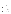| 18) Is there a preference for submission                                                 | 18) No, recognize there are special          |
|------------------------------------------------------------------------------------------|----------------------------------------------|
| (mail versus electronic)?                                                                | instructions for electronic submission as    |
|                                                                                          | specified and format requirements. Section   |
|                                                                                          | "IV. APPLICATION AND SUBMISSION              |
|                                                                                          | PROCESS" under "Stage 2: Cover Letter,       |
|                                                                                          | Concept Proposal and SF-424, 424A and        |
|                                                                                          | 424B Submission", "How to Submit your        |
|                                                                                          | Stage 2 Package Electronically" on page 23   |
|                                                                                          | of the solicitation.                         |
| 19) Some of the most positive outcomes,                                                  | 19) Examples included in the RFA are         |
| in particular with respect to second hand                                                | examples to help provide some clarity        |
| smoke, have come from public policy                                                      | about the linkage between activities         |
| approaches.                                                                              | conducted and outcomes that would be         |
| The RFA does not seem to support this                                                    | achieved. If an applicant wants to propose   |
| initiative.                                                                              | work aimed at policy change, then they       |
|                                                                                          | would need to create a link to bottom-line   |
|                                                                                          | health outcomes. There is a discussion       |
|                                                                                          | under the Environmental Tobacco Smoke        |
|                                                                                          | (ETS) portion of RFA (page 4) that talks     |
|                                                                                          | about how EPA is only focused around         |
|                                                                                          | ETS and not other aspects of tobacco.        |
| 20) Page 11, paragraph at bottom of                                                      | 20) Yes, activities need to be linked to     |
| page/bolded language—pages are                                                           | these environmental health outcomes.         |
| examples, is it true, except for bolded                                                  |                                              |
|                                                                                          |                                              |
|                                                                                          |                                              |
| sections, that proposals must address at<br>least one of the health outcomes identified. |                                              |
| 21) Looking at other factors/geographic                                                  | 21) EPA is looking for projects that are     |
| balance among EPA regions-How does                                                       | replicable nationally or national in scope.  |
| this balance work? What if a project                                                     | We anticipate that some proposed projects    |
| includes work in multiple regions? Are                                                   | may include demonstrations in                |
| you considering national approaches?                                                     | communities. As stated under section "V.     |
|                                                                                          | A. Evaluation Criteria, VI. 3. The proposed  |
|                                                                                          | project demonstrates that activities are     |
|                                                                                          | replicable and can yield large scale         |
|                                                                                          | impacts" and under "B. Other Factors,"       |
|                                                                                          | fourth bullet "balance of type of            |
|                                                                                          | community targeted (e.g., rural, urban, low- |
|                                                                                          | income, disadvantaged impacted               |
|                                                                                          | populations, etc.).                          |
| 22) Please define sustainability. Is there a                                             | 22) Under the eligibility criteria on page   |
| time period for how long should be able to                                               | 31 (and page 25, Section E), when EPA        |
| sustain project?                                                                         | funding concludes, what is the likelihood    |
|                                                                                          | that project can continue? There is no time  |
|                                                                                          | period for how long the project should       |
|                                                                                          | continue.                                    |
| 23) Are Charter schools eligible if they                                                 | $23)$ Yes                                    |
| have $501 \text{ C}(3)$ designation?<br>24) Is the building type a priority?             | Yes, refer to I. Funding Opportunity<br>24)  |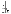|                                                    | Description sections A. and B. of the RFA.    |
|----------------------------------------------------|-----------------------------------------------|
| 25) Will EPA correct IAQ problems in               | 25) Applicant should outline the              |
| Schools? Does EPA want to demonstrate              | methodology they will                         |
| that repairs in schools and the use of             | use in addressing IAQ in schools. EPA         |
| effective good IAQ management plans lead           | cautions about proposing programs or          |
| to better IAQ?                                     | program implementation projects, EPA's        |
|                                                    | authority extends to outreach, education,     |
|                                                    | and demonstration projects only. EPA is       |
|                                                    | not authorized to repair buildings. This is   |
|                                                    | considered implementation. For example:       |
|                                                    | EPA can demonstrate IAQ management            |
|                                                    | plans in schools are effective, but cannot go |
|                                                    | into a broad number of schools and pay for    |
|                                                    | mitigation.                                   |
| 26) Applicant is developing first LEED             | 26) EPA cannot comment on the                 |
| platinum building in country and would             | appropriateness of a specific project or      |
| like to integrate $I A Q T f S$ into this process. | activity.                                     |
| Is this appropriate?                               |                                               |
| 27) Does the RFA specifically prohibit             | 27) Typically construction costs would not    |
| funding of construction costs?                     | be eligible for projects awarded pursuant to  |
|                                                    | Clean Air Act Section 103.                    |
| 28) Please clarify budget allocations for          | 28) \$3-4 million per year for total of 20-25 |
| RFA funding.                                       | agreements.                                   |
| 29) Are projects of less than 36 months            | 29) Yes                                       |
| welcome?                                           |                                               |
| 30) In reference to Page 7, language               | 30) We anticipate that environmental          |
| dealing with bottom-line environmental             | outcomes described in RFA would largely       |
| outcomes: Environmental outcomes that              | be achievable during the project period.      |
| result from projects may not be achieved           | EPA anticipates some discussion of            |
| until after the funding period concludes. Is       | outcomes achievable during project period.    |
| this acceptable?                                   | Outcomes described will not take more         |
|                                                    | than 3 years to achieve. There may be         |
|                                                    | some outcomes that are achieved               |
|                                                    | subsequent to the agreement. The              |
|                                                    | applicant's proposal should address what      |
|                                                    | outcomes are anticipated. Reference page 8    |
|                                                    | for more detailed discussion on this topic.   |
| 31) Can projects include research and              | 31) If the applicant needs to gather          |
| education?                                         | information or generate data to support or    |
|                                                    | inform outreach conducting, this would be     |
|                                                    | reasonable. Generation of data or other       |
|                                                    | research isolated from outreach program       |
|                                                    | would not be eligible.                        |
| 32) We are interested in implementing              | 32) If, the endpoint is to achieve            |
| IAQ TfS Kit, in a school district. This has        | environmental outcomes materials              |
| been difficult to implement because the            | development would be eligible. Although,      |
| materials are not in Spanish and do not            | EPA encourages applicants not to create       |
|                                                    |                                               |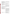| address tropical environments - would        | new materials when they exist, but to use                                           |
|----------------------------------------------|-------------------------------------------------------------------------------------|
| projects that propose to develop a           | existing materials for outreach purposes.                                           |
| customized kit be eligible under this RFA?   |                                                                                     |
| 33) Evaluations of reduced exposure to       | 33) Yes, these would be two examples of                                             |
| environmental allergens – are you            | appropriate ways to track the impact of                                             |
| considering things like pre and post tests   | work.                                                                               |
| and asthma diaries as evidence of reduction  |                                                                                     |
| in exposure?                                 |                                                                                     |
| 34) Would broad education campaigns          | 34) EPA cannot comment on the                                                       |
| (i.e., bus posters) be eligible?             | appropriateness of a specific project or                                            |
|                                              | activity.                                                                           |
| 35) Can an applicant use funds to do         | 35) EPA cannot comment on the                                                       |
| environmental remediation (e.g., Integrated  | appropriateness of a specific project or                                            |
| Pest Management) if coupled with             | activity.                                                                           |
| education?                                   |                                                                                     |
| 36) Is there a maximum/minimum amount        | 36) No there is no maximum or minimum                                               |
| for indirect costs?                          | indirect costs under this solicitation. Each                                        |
|                                              | organization negotiates their individual                                            |
|                                              | indirect cost rate with their cognizant                                             |
|                                              | agency.                                                                             |
| 37) With regards to addressing more than     | 37) Describe in your proposal whatever                                              |
| one environmental priority area. To what     | fashion you intend to integrate activities                                          |
| extent must they be separated to ensure that | proposed.                                                                           |
| there isn't too much duplication within 12   |                                                                                     |
| page limit?                                  |                                                                                     |
| 38) Page 7, demonstration – tailoring        | 38) Yes                                                                             |
| project from urban environment to rural –    |                                                                                     |
| would this be eligible?                      |                                                                                     |
| 39) Demonstration project $- IAQ$ TfS        | 39) Conducting an evaluation of the impact                                          |
| program - Have any systematic program        | of IAQ TfS or any other assessment of                                               |
| evaluations been done for the $IAQ$ TfS      | some data or condition would be eligible as                                         |
| Program? How would this fit into RFA?        | long as it integrated into a project aimed at                                       |
|                                              | increasing environmental outcomes. If the                                           |
|                                              | project stopped at a point of acquiring data,                                       |
|                                              |                                                                                     |
|                                              |                                                                                     |
|                                              | then under evaluation criteria, it would                                            |
|                                              | receive low scores in terms of achieving<br>environmental outcomes. The aim of this |
|                                              |                                                                                     |
|                                              | RFA is to achieve positive environmental                                            |
|                                              | outcomes through outreach, education, and                                           |
|                                              | demonstration programs.                                                             |
|                                              | NOTE: There have been evaluations done                                              |
|                                              | on the elements of $IAQ$ TfS throughout the                                         |
|                                              | country.                                                                            |
| 40) Please provide concrete examples of a    | 40) CAA $103(b)(3)$ states that                                                     |
| demonstration project.                       | demonstrations must involve new or                                                  |
|                                              | experimental technologies, methods, or                                              |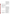|                                                                                                                                                             | will be disseminated so that others can<br>benefit from the knowledge gained in the<br>demonstration project. A project that is<br>accomplished through the performance of<br>routine, traditional, or established practices,<br>or a project that is simply intended to carry<br>out a task rather than transfer information<br>or advance the state of knowledge,<br>however worthwhile the project might be,<br>is not a demonstration."                                                                                                                  |
|-------------------------------------------------------------------------------------------------------------------------------------------------------------|--------------------------------------------------------------------------------------------------------------------------------------------------------------------------------------------------------------------------------------------------------------------------------------------------------------------------------------------------------------------------------------------------------------------------------------------------------------------------------------------------------------------------------------------------------------|
| 41) This RFA does not identify bio-<br>measure markers – Would this enhance a<br>proposal?                                                                  | 41) It would be good in a proposal if you<br>were able to provide this information, but<br>is not required in terms of measuring<br>outcomes.                                                                                                                                                                                                                                                                                                                                                                                                                |
| 42) Demonstration projects usually means<br>new projects. If we have an existing project<br>that we want to expand to new target group<br>is this eligible? | 42) Yes                                                                                                                                                                                                                                                                                                                                                                                                                                                                                                                                                      |
| 43) Is an organization allowed to submit<br>more than one proposal for two different<br>projects?                                                           | 43) Yes                                                                                                                                                                                                                                                                                                                                                                                                                                                                                                                                                      |
| 44) Are projects that are local but can be<br>replicated eligible to apply?                                                                                 | 44) Projects that can be replicated are<br>eligible (Reference Page 25 of RFA). It is<br>important to discuss how projects can be<br>replicated and yield large scale impacts.                                                                                                                                                                                                                                                                                                                                                                               |
| 45) Are new organizations (not 501C (3))<br>with fiscal agents eligible to apply?                                                                           | 45) If you propose with another $501C(3)$ or<br>eligible organization as lead organization<br>that would be acceptable. You will need to<br>comply with rules outlined in 40 CFR Part<br>30. A $501C(3)$ or eligible organization<br>would be the lead organization and the<br>application would need to come from them.<br>EPA recommends submitting separate<br>question via email if you are proposing<br>alternative relationship. Please refer to<br>section "III. ELIGIBILITY<br>INFORMATION, A. Eligible Entities" on<br>page 21 of the solicitation. |
| 46) Discuss year to year requirements to<br>maintain cooperative agreement.                                                                                 | 46) A funded partner is responsible for<br>submitting budget refining year to year<br>activities, quarterly reports outlining<br>project activities that include how the<br>grantee is achieving environmental<br>outcomes, and financial data.                                                                                                                                                                                                                                                                                                              |
| 47) What plans does EPA have for similar<br>or related RFAs in the IAQ area?                                                                                | 47) EPA doesn't have information on<br>future RFAs at this time.                                                                                                                                                                                                                                                                                                                                                                                                                                                                                             |
| 48) In three years do you anticipate                                                                                                                        | 48) Without obligation and subject to                                                                                                                                                                                                                                                                                                                                                                                                                                                                                                                        |
| continuation of this program?                                                                                                                               | availability of funding, EPA expects this                                                                                                                                                                                                                                                                                                                                                                                                                                                                                                                    |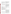|                                                                                                                                                                                                | competitive program will continue in the<br>future.                                                                                                                                                                                                                                                               |
|------------------------------------------------------------------------------------------------------------------------------------------------------------------------------------------------|-------------------------------------------------------------------------------------------------------------------------------------------------------------------------------------------------------------------------------------------------------------------------------------------------------------------|
| 49) Page 8, activities that would be<br>eligible under asthma - please elaborate on<br>what activities are not eligible. Standards<br>of care will include some type of medical<br>management. | 49) EPA's mission and authorizing<br>legislation gives authority for us to address<br>environmental factors and not medical<br>issues in isolation. Focus of funding<br>should be aimed at addressing<br>environmental factors.                                                                                   |
| 50) Are smoking cessation programs<br>eligible?                                                                                                                                                | 50) No                                                                                                                                                                                                                                                                                                            |
| 51) Project sustainability and replication -<br>elaborate about how, for demonstration<br>projects, you would address sustainability.                                                          | 51) EPA does not want to go far beyond<br>what is written in the criteria, with the way<br>EPA would like to see how applicant will<br>sustain successes beyond conclusion of<br>EPA assistance agreement. It is the<br>applicant's responsibility to demonstrate<br>sustainability beyond funding from EPA.      |
| 52) Are there formatting requirements for<br>the proposal?                                                                                                                                     | 52) Applicants must substantially comply<br>with requirements contained in IV.<br><b>APPLICATION AND SUBMISSION</b><br>PROCESS, Stage 2.                                                                                                                                                                          |
| 53) Is the review of concept proposals<br>done internally?                                                                                                                                     | 53) Yes                                                                                                                                                                                                                                                                                                           |
| 54) Do you encourage or discourage<br>consortiums?                                                                                                                                             | 54) EPA does not encourage or discourage<br>consortiums.                                                                                                                                                                                                                                                          |
| 55) Can you choose either/or or both<br>pollutants or building IAQ priority areas?                                                                                                             | 55) Yes                                                                                                                                                                                                                                                                                                           |
| 56) Do we need to link to long term health<br>outcome?                                                                                                                                         | 56) Yes                                                                                                                                                                                                                                                                                                           |
| 57) On options for buildings, do child care<br>centers fall into one of those categories?                                                                                                      | 57) Yes                                                                                                                                                                                                                                                                                                           |
| 58) Are there formatting requirements for<br>the proposal?                                                                                                                                     | 58) No                                                                                                                                                                                                                                                                                                            |
| 59) Is it required to complete single point<br>of contact?                                                                                                                                     | 59) The single point of contact review is<br>not required for stage 2- Submission of the<br>cover letter, concept proposal, SF-424,<br>424A and 424B. However, if the proposal<br>is selected for award recommendation<br>(invited to participate in Stage 5) single<br>point of contact review will be required. |
| 60) Are mobile source emissions, IAQ and<br>other mobile source projects eligible?                                                                                                             | 60) Yes, however, projects must address<br>indoor ambient air and air toxics and be<br>linked to bottom line environmental health<br>outcomes. Reference page 15 of RFA for<br>examples.                                                                                                                          |
| 61) Page 7: Demonstration projects must<br>involve new/experimental technology. Is                                                                                                             | 61) The term "technology" mostly<br>represents engineering; EPA is referring to                                                                                                                                                                                                                                   |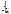| EPA looking for an engineer to develop        | education and outreach activities.           |
|-----------------------------------------------|----------------------------------------------|
| new technique?                                |                                              |
| 62) Will there be any proposals accepted      | 62) Yes, EPA accepts unsolicited proposals   |
| for following years or on yearly basis?       | for unique or innovative projects at any     |
|                                               | time. However, it is EPA's intention to      |
|                                               | award a majority of our funding resources    |
|                                               | under this solicitation.                     |
| 63) Is there a place where previous award     | 63) No, however, one may reference our       |
| recipients are listed?                        | Web site and click on "Partners" to see      |
|                                               | organizations EPA has worked with in the     |
|                                               | past on IAQ initiatives. www.epa.gov/iaq/    |
| 64) Why does the information on page 25,      | 64) An applicant does not need to            |
| Section C cover only some of the issues in    | complete the environmental outcomes          |
| the environmental outcomes table section?     | table. This represents the kind of           |
|                                               | information EPA would like to see in a       |
|                                               | proposal and demonstrates the way EPA        |
|                                               | links outputs to outcomes. The applicant     |
|                                               | needs to ensure that they describe           |
|                                               | activities, outputs and environmental        |
|                                               | outcomes aimed at achieving                  |
|                                               | environmental results.                       |
| 65) Will there be another competition after   | 65) EPA's intent is to select from concept   |
| review the concept proposals?                 | proposals the final proposals for which we   |
|                                               | would award funding. There will not be       |
|                                               | another competition after we have            |
|                                               | completed review of concept proposals.       |
|                                               | Applicants need to include all information   |
|                                               | that they want evaluated in their concept    |
|                                               | proposal. The project proposal that we will  |
|                                               | be evaluating is limited to 12 pages,        |
|                                               | including detailed budget, plus two page     |
|                                               | cover letter. Any material covered beyond    |
|                                               | that will not be considered.                 |
|                                               |                                              |
| 66) Do we need to submit a budget for all     | 66) Applicants should submit a budget        |
| three years?                                  | which includes all costs associated with the |
|                                               | project proposed.                            |
| 67) If a mitigation project is submitted in a | 67) Yes, if done for purposes of             |
| proposal, would the costs of the mitigation   | demonstration then the costs may be          |
| project (1 or more in low income area) be     | included.                                    |
| included with grant money?                    |                                              |
| 68) There are no innovative ways for          | 68) Innovation with regard to radon          |
| mitigation of radon, how innovative can       | mitigation deals with outreach to increasing |
| you be?                                       | behavior change. We are open to a range      |
|                                               | of activities. In fact, EPA drafted the RFA  |
|                                               | to be particularly flexible to cover a range |
|                                               | of activities EPA will fund but outcomes     |
|                                               | are not flexible.                            |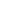# US EPA ARCHIVE DOCUMENT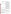| <b>Question</b>                                                                                  | <b>Answer</b>                                                                           |
|--------------------------------------------------------------------------------------------------|-----------------------------------------------------------------------------------------|
| 1) Will this conference call be repeated?                                                        | 1) This conference call will not be repeated.                                           |
|                                                                                                  | However, as mentioned in the RFA under IV.                                              |
|                                                                                                  | APPLICATION AND SUBMISSION PROCESS,                                                     |
|                                                                                                  | Stage 1: Pre-proposal Call, The questions and                                           |
|                                                                                                  | answers from this call will be posted on the OAR<br>website:                            |
|                                                                                                  | http://www.epa.gov/air/grants_funding.html.                                             |
| 2) I am out of town starting next week for about                                                 | 2) Please refer to IV. APPLICATION AND                                                  |
| 10 days. Is it too late to start the process when I                                              | SUBMISSION PROCESS, Stage 2: Cover Letter,                                              |
| get back?                                                                                        | Concept Proposal and SF-424, 424A and 424B                                              |
|                                                                                                  | Submission. It states the following under this                                          |
|                                                                                                  | section. In addition to completing SF-424, 424A                                         |
|                                                                                                  | and 424B, applicants must complete a cover letter                                       |
|                                                                                                  | (maximum 2 pages) and concept proposal                                                  |
|                                                                                                  | (maximum 12 pages, attached as a project<br>narrative attachment form in Grants.gov) as |
|                                                                                                  | described below. Only the concept proposal will                                         |
|                                                                                                  | be evaluated using the evaluation criteria set forth                                    |
|                                                                                                  | in Section V. of this RFA. This information must                                        |
|                                                                                                  | be received no later than Monday, December 12,                                          |
|                                                                                                  | 2005, 4:00 pm EST to Shelley Blake. Proposals                                           |
|                                                                                                  | received after this deadline will not be considered.                                    |
|                                                                                                  | The deadlines are also stated under the DATES<br>section on page 1.                     |
| 3) How do I know who and if we have an                                                           | 3) An AOR submits a grant on behalf of a                                                |
| "Authorized Organization Representative                                                          | company, organization, institution, or government.                                      |
| (AOR)?                                                                                           | AORs have the authority to sign grant applications                                      |
|                                                                                                  | and the required certifications and/or assurances                                       |
|                                                                                                  | that are necessary to fulfill the requirements of the                                   |
|                                                                                                  | application process.                                                                    |
| 4) Are local governments eligible to apply for                                                   | 4) Yes.                                                                                 |
| project funding from the "Indoor Environments:<br>Reducing Public Exposure to Indoor Pollutants" |                                                                                         |
| grant?                                                                                           |                                                                                         |
| 5) How much are individual awards expected to                                                    | 5) EPA has not set a range for individual awards.                                       |
| range? Is there a maximum award amount?                                                          | Instead, EPA funding decisions will be made by                                          |
|                                                                                                  | applying the criteria in Section V. APPLICATION                                         |
|                                                                                                  | REVIEW INFORMATION.                                                                     |
|                                                                                                  |                                                                                         |
| 6) I understand that a broad range of<br>public/private nonprofit institutions are eligible      | 6) EPA awards to the full range of eligible entities<br>in past years.                  |
| to apply -- however, based on previous years,                                                    |                                                                                         |
| what types of organizations have received                                                        |                                                                                         |
| awards through this program?                                                                     |                                                                                         |
| 7) Is this program the same as the closed RFA                                                    | 7) Yes, This competition is the next follow-on to                                       |
| entitled "Indoor Air Quality: Communication,                                                     | the closed RFA entitled "Indoor Air Quality:                                            |

# **Questions and Answers obtained through IAQ.RFA Inbox**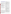| Education, and Outreach Programs" from 2003                                    | Communication, Education, and Outreach                                   |
|--------------------------------------------------------------------------------|--------------------------------------------------------------------------|
| (http://www.epa.gov/air/grants_funding.html#clo                                | Programs" from 2003.                                                     |
| sed)? If so, is there a list of award recipients?                              |                                                                          |
| 8) Can federal agencies qualify for grants?                                    | 8) No. The appropriate mechanism for supporting                          |
|                                                                                | other federal government agencies/projects is                            |
|                                                                                | through an interagency agreement.                                        |
| 9) What is your vision for delivery of training?                               | 9) Please refer to the RFA sections I. FUNDING                           |
| What kinds of venues would be acceptable?                                      | OPPORTUNITY DESCRIPTION (ALL                                             |
| What locations? What kind of schedule would                                    | SECTIONS) and II. AWARD INFORMATION                                      |
| be appropriate?                                                                | (ALL SECTIONS).                                                          |
| 10) What kinds of community partners would                                     | 10) Please refer to I. FUNDING OPPORTUNITY                               |
| you like to see involved?                                                      | DESCRIPTION (ALL SECTIONS).                                              |
| 11) Should the training materials be translated?                               | 11) Please refer to I. FUNDING OPPORTUNITY                               |
|                                                                                | DESCRIPTION (ALL SECTIONS).                                              |
| 12) Are multiple submissions from one                                          | $12)$ Yes                                                                |
| institution allowed?                                                           |                                                                          |
| 13) Are multiple submissions from one                                          | 13) Multiple applications are acceptable from                            |
| organization allowed and if not is it acceptable to                            | eligible organizations or one application with                           |
| have a larger submission with multiple, but                                    | multiple priority areas from one organization is                         |
| unrelated tasks or phases in it?                                               | acceptable.                                                              |
| 14) Are CVs of key personnel part of the 12 page                               | 14) Please refer to IV. APPLICATION AND                                  |
| limit or can they be attached?                                                 | SUBMISSION PROCESS, Stage 2 Elements of                                  |
|                                                                                | the concept proposal.                                                    |
|                                                                                |                                                                          |
| 15) Why is this called a "Concept Proposal"                                    | 15) EPA is using this term to differentiate initial                      |
| when it requires detailed descriptions,                                        | information submitted (Stage 2) versus the full                          |
| milestones, timelines and extensive budgeting?                                 | application kit required from those selected for                         |
|                                                                                | award recommendation. (Stage 5).                                         |
| 16) Who determines if it is replicable?                                        | 16) An evaluation panel will be evaluating each                          |
|                                                                                | proposal using the evaluation criteria stated in                         |
|                                                                                | section.V. APPLICATION REVIEW                                            |
|                                                                                | INFORMATION. The criteria relating to                                    |
|                                                                                | replicability is in Sect IV. Project Sustainability                      |
|                                                                                | and Replication #3.<br>17) Decisions will be made solely on the criteria |
| 17) Will first priority be given to large scale<br>national programs?          | in section V. APPLICATION REVIEW                                         |
|                                                                                | <b>INFORMATION A and B.</b>                                              |
| 18) My other question relates to funding of the                                |                                                                          |
| grants. Ex. If we ask for 200,000 for a three year                             |                                                                          |
|                                                                                | 18) Please submit a budget commensurate with                             |
|                                                                                | the activities in your project. Please refer to VI.                      |
| project, will we submit a three year budget that                               | Budget and Matching Funds: under the Evaluation                          |
| adds up to 200,000? Or will you continue certain                               | Criteria Found in V. APPLICATION REVIEW                                  |
| projects for up to three years at 200,000 per                                  | INFORMATION. You may also want to refer to                               |
| year?                                                                          | II. AWARD INFORMATION on page 20.                                        |
| 19) Will you be able to share with all potential                               | 19) We do not provide that information.                                  |
| applicants- who the other potential applicants are                             |                                                                          |
| so that we can all talk to each other about<br>forming collaborative projects? |                                                                          |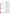| attachment form or is it just a description of what<br>we would like to do?                                                                                                                           | project narrative attachment form is where you<br>attach your concept proposal in grants.gov if you<br>decide to electronically submit Stage 2. Here are<br>the directions for submitting electronically found<br>on p. 23 under IV. APPLICATION AND<br>SUBMISSION PROCESS, Stage 2.                                                                                                                                                                                                                                                                                                                                                           |
|-------------------------------------------------------------------------------------------------------------------------------------------------------------------------------------------------------|------------------------------------------------------------------------------------------------------------------------------------------------------------------------------------------------------------------------------------------------------------------------------------------------------------------------------------------------------------------------------------------------------------------------------------------------------------------------------------------------------------------------------------------------------------------------------------------------------------------------------------------------|
| 21) Should "in-kind" staff time and<br>goods/services be included in both the concept<br>proposal (budget), SF 424. and SF 424-A?                                                                     | Yes, in the concept proposal please include it as<br>part G of the 12 pages. See Stage 2 under IV.<br><b>Application and Submission Process:</b>                                                                                                                                                                                                                                                                                                                                                                                                                                                                                               |
|                                                                                                                                                                                                       | Please also include any "in-kind" staff time and<br>goods/services on the SF 424 cover sheet under<br>15(b). Also include "in-kind on the SF 424-A<br>under Section A-Budget Summary lines 1-4 under<br>column (f) and under Section C-Nonfederal<br>Resources, lines 8-11 under column b, c, or d<br>where appropriate.                                                                                                                                                                                                                                                                                                                       |
| 22) Are "Letters of Support" or References<br>included in the 12 page limit for the concept<br>proposal?                                                                                              | 22) Letters of Support and or References are not<br>required to be submitted with the concept proposal.<br>If you want the letters and or references to be<br>evaluated using the evaluation criteria, they will<br>need to be included in the 12 pages of your<br>concept proposal. Any materials provided beyond<br>the 12 page limit will not be considered for<br>evaluation.                                                                                                                                                                                                                                                              |
| 24) Can I still apply if I did not attend the pre-<br>proposal conference call?                                                                                                                       | 24) Yes                                                                                                                                                                                                                                                                                                                                                                                                                                                                                                                                                                                                                                        |
| 25) Is the EPA grant limited to focus on a<br>specific set of asthma triggers? Are chemical<br>triggers within EPA's scope of triggers?                                                               | 25) RFA p. 3 & 4 under I. A. Indoor Asthma<br>Triggers:<br>While the mechanisms that cause asthma are<br>complex and prevalence rates vary among<br>population groups, there is substantial evidence<br>that indoor exposures to irritants such as<br>environmental tobacco smoke (ETS) and allergens<br>from house dust mites, pests, molds, and animals<br>play a significant role in triggering asthma<br>episodes, and, in some instances (ETS and dust<br>mites), are causally linked to the development of<br>the disease. For the purpose of this RFA, all<br>asthma irritants and environmental triggers are<br>considered pollutants. |
| 26) With regard to addressing multiple priority<br>areas, we are interested in doing outreach and<br>education for policymakers on possibly 4 areas<br>over the 3 year period. I am wondering whether | 26) Please refer to section I. Funding Opportunity<br>Description B. Scope of Work p. 7-8. This<br>section details what types of projects/proposals are                                                                                                                                                                                                                                                                                                                                                                                                                                                                                        |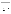| focus of the proposal, perhaps to just two issues,<br>would be a better approach for your needs. We<br>would be looking at an average sized grant<br>(around \$150,000 per year) that incorporates all<br>4 issues.                                                                                                                                                                                                                                                                                                                                                                                                                                                                                                                                                      | Strategic Plan and Anticipated Programmatic and<br>Environmental Results as well as Section V.<br>Application Review Information.                            |
|--------------------------------------------------------------------------------------------------------------------------------------------------------------------------------------------------------------------------------------------------------------------------------------------------------------------------------------------------------------------------------------------------------------------------------------------------------------------------------------------------------------------------------------------------------------------------------------------------------------------------------------------------------------------------------------------------------------------------------------------------------------------------|--------------------------------------------------------------------------------------------------------------------------------------------------------------|
| 27) Do we need signature from an authorized<br>representative for submission of stage 2?                                                                                                                                                                                                                                                                                                                                                                                                                                                                                                                                                                                                                                                                                 | 27) On the SF 424, #18a is for the authorized<br>representative's name. The authorized<br>representative's signature goes in #18d.                           |
| Our school is building what is planned to be the<br>first LEED platinum school in the country. As<br>part of the project, we have decided to dedicate<br>about 2,500 square feet on the first floor as a<br>"sustainable design demonstration area" that we<br>call the "Green Corridor". In this area we will<br>demonstrate all of the techniques that contributed<br>to our LEED Platinum status in an effort to<br>educate students, professionals, community<br>members about the benefits of high performance<br>design. Since IAQ is a huge factor in high<br>performance design, smart school construction,<br>and the LEED issues it will be highly<br>represented in our "Green Corridor". The<br>following questions relate to this demonstration<br>project: |                                                                                                                                                              |
| 29) Can this grant pay for the design and<br>subsequent hard development costs of the<br>exhibits and kiosks that will be part of the<br>exhibition?                                                                                                                                                                                                                                                                                                                                                                                                                                                                                                                                                                                                                     | 29) It is difficult for EPA to comment on specific<br>cost items. EPA will consider all costs that are<br>deemed to be reasonable, allowable, and allocable. |
| 30) As we will be demonstrating innovative<br>IAQ measures in the building, can the grant<br>subsidize these construction costs (under floor<br>air distribution, CO2 monitoring, humidity<br>controls, Low VOC paints and furnishings,<br>wheat board casework, etc.)?                                                                                                                                                                                                                                                                                                                                                                                                                                                                                                  | 30) It is difficult for EPA to comment on specific<br>cost items. EPA will consider all costs that are<br>deemed to be reasonable, allowable, and allocable  |
| 31) If we are adding special data/control points<br>to monitor and study IAQ throughout<br>the building so it can be presented in the demo<br>area, can these building management additions<br>be included in our grant?                                                                                                                                                                                                                                                                                                                                                                                                                                                                                                                                                 | 31) It is difficult for EPA to comment on specific<br>cost items. EPA will consider all costs that are<br>deemed to be reasonable, allowable, and allocable  |